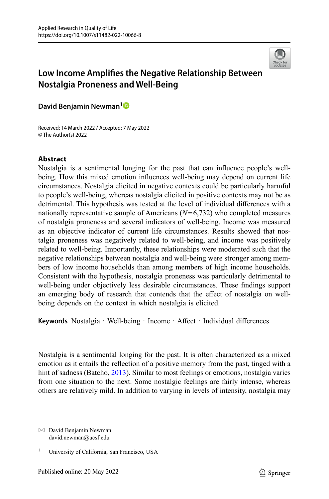

# **Low Income Amplifes the Negative Relationship Between Nostalgia Proneness and Well-Being**

**David Benjamin Newman[1](http://orcid.org/0000-0002-1296-5817)**

Received: 14 March 2022 / Accepted: 7 May 2022 © The Author(s) 2022

## **Abstract**

Nostalgia is a sentimental longing for the past that can infuence people's wellbeing. How this mixed emotion infuences well-being may depend on current life circumstances. Nostalgia elicited in negative contexts could be particularly harmful to people's well-being, whereas nostalgia elicited in positive contexts may not be as detrimental. This hypothesis was tested at the level of individual diferences with a nationally representative sample of Americans (*N*=6,732) who completed measures of nostalgia proneness and several indicators of well-being. Income was measured as an objective indicator of current life circumstances. Results showed that nostalgia proneness was negatively related to well-being, and income was positively related to well-being. Importantly, these relationships were moderated such that the negative relationships between nostalgia and well-being were stronger among members of low income households than among members of high income households. Consistent with the hypothesis, nostalgia proneness was particularly detrimental to well-being under objectively less desirable circumstances. These fndings support an emerging body of research that contends that the efect of nostalgia on wellbeing depends on the context in which nostalgia is elicited.

Keywords Nostalgia · Well-being · Income · Affect · Individual differences

Nostalgia is a sentimental longing for the past. It is often characterized as a mixed emotion as it entails the refection of a positive memory from the past, tinged with a hint of sadness (Batcho, [2013\)](#page-12-0). Similar to most feelings or emotions, nostalgia varies from one situation to the next. Some nostalgic feelings are fairly intense, whereas others are relatively mild. In addition to varying in levels of intensity, nostalgia may

 $\boxtimes$  David Benjamin Newman david.newman@ucsf.edu

<sup>1</sup> University of California, San Francisco, USA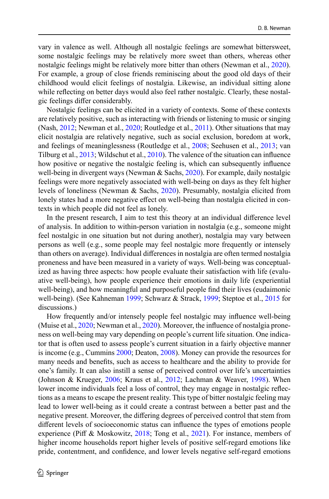vary in valence as well. Although all nostalgic feelings are somewhat bittersweet, some nostalgic feelings may be relatively more sweet than others, whereas other nostalgic feelings might be relatively more bitter than others (Newman et al., [2020\)](#page-13-0). For example, a group of close friends reminiscing about the good old days of their childhood would elicit feelings of nostalgia. Likewise, an individual sitting alone while refecting on better days would also feel rather nostalgic. Clearly, these nostalgic feelings difer considerably.

Nostalgic feelings can be elicited in a variety of contexts. Some of these contexts are relatively positive, such as interacting with friends or listening to music or singing (Nash, [2012;](#page-13-1) Newman et al., [2020](#page-13-0); Routledge et al., [2011\)](#page-14-0). Other situations that may elicit nostalgia are relatively negative, such as social exclusion, boredom at work, and feelings of meaninglessness (Routledge et al., [2008](#page-14-1); Seehusen et al., [2013](#page-14-2); van Tilburg et al., [2013](#page-14-3); Wildschut et al., [2010\)](#page-14-4). The valence of the situation can infuence how positive or negative the nostalgic feeling is, which can subsequently infuence well-being in divergent ways (Newman & Sachs, [2020\)](#page-13-2). For example, daily nostalgic feelings were more negatively associated with well-being on days as they felt higher levels of loneliness (Newman & Sachs, [2020](#page-13-2)). Presumably, nostalgia elicited from lonely states had a more negative effect on well-being than nostalgia elicited in contexts in which people did not feel as lonely.

In the present research, I aim to test this theory at an individual diference level of analysis. In addition to within-person variation in nostalgia (e.g., someone might feel nostalgic in one situation but not during another), nostalgia may vary between persons as well (e.g., some people may feel nostalgic more frequently or intensely than others on average). Individual diferences in nostalgia are often termed nostalgia proneness and have been measured in a variety of ways. Well-being was conceptualized as having three aspects: how people evaluate their satisfaction with life (evaluative well-being), how people experience their emotions in daily life (experiential well-being), and how meaningful and purposeful people fnd their lives (eudaimonic well-being). (See Kahneman [1999](#page-13-3); Schwarz & Strack, [1999;](#page-14-5) Steptoe et al., [2015](#page-14-6) for discussions.)

How frequently and/or intensely people feel nostalgic may infuence well-being (Muise et al., [2020](#page-13-4); Newman et al., [2020](#page-13-0)). Moreover, the infuence of nostalgia proneness on well-being may vary depending on people's current life situation. One indicator that is often used to assess people's current situation in a fairly objective manner is income (e.g., Cummins [2000;](#page-13-5) Deaton, [2008](#page-13-6)). Money can provide the resources for many needs and benefts, such as access to healthcare and the ability to provide for one's family. It can also instill a sense of perceived control over life's uncertainties (Johnson & Krueger, [2006;](#page-13-7) Kraus et al., [2012;](#page-13-8) Lachman & Weaver, [1998](#page-13-9)). When lower income individuals feel a loss of control, they may engage in nostalgic refections as a means to escape the present reality. This type of bitter nostalgic feeling may lead to lower well-being as it could create a contrast between a better past and the negative present. Moreover, the difering degrees of perceived control that stem from diferent levels of socioeconomic status can infuence the types of emotions people experience (Pif & Moskowitz, [2018](#page-14-7); Tong et al., [2021\)](#page-14-8). For instance, members of higher income households report higher levels of positive self-regard emotions like pride, contentment, and confdence, and lower levels negative self-regard emotions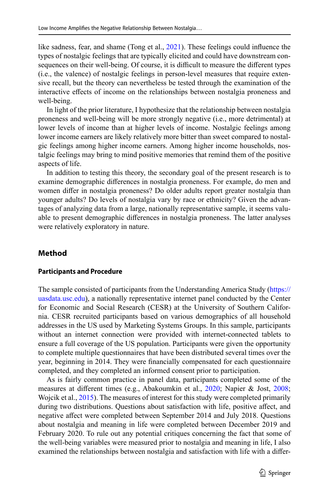like sadness, fear, and shame (Tong et al., [2021](#page-14-8)). These feelings could infuence the types of nostalgic feelings that are typically elicited and could have downstream consequences on their well-being. Of course, it is difficult to measure the different types (i.e., the valence) of nostalgic feelings in person-level measures that require extensive recall, but the theory can nevertheless be tested through the examination of the interactive efects of income on the relationships between nostalgia proneness and well-being.

In light of the prior literature, I hypothesize that the relationship between nostalgia proneness and well-being will be more strongly negative (i.e., more detrimental) at lower levels of income than at higher levels of income. Nostalgic feelings among lower income earners are likely relatively more bitter than sweet compared to nostalgic feelings among higher income earners. Among higher income households, nostalgic feelings may bring to mind positive memories that remind them of the positive aspects of life.

In addition to testing this theory, the secondary goal of the present research is to examine demographic diferences in nostalgia proneness. For example, do men and women difer in nostalgia proneness? Do older adults report greater nostalgia than younger adults? Do levels of nostalgia vary by race or ethnicity? Given the advantages of analyzing data from a large, nationally representative sample, it seems valuable to present demographic diferences in nostalgia proneness. The latter analyses were relatively exploratory in nature.

# **Method**

#### **Participants and Procedure**

The sample consisted of participants from the Understanding America Study ([https://](https://uasdata.usc.edu) [uasdata.usc.edu\)](https://uasdata.usc.edu), a nationally representative internet panel conducted by the Center for Economic and Social Research (CESR) at the University of Southern California. CESR recruited participants based on various demographics of all household addresses in the US used by Marketing Systems Groups. In this sample, participants without an internet connection were provided with internet-connected tablets to ensure a full coverage of the US population. Participants were given the opportunity to complete multiple questionnaires that have been distributed several times over the year, beginning in 2014. They were fnancially compensated for each questionnaire completed, and they completed an informed consent prior to participation.

As is fairly common practice in panel data, participants completed some of the measures at diferent times (e.g., Abakoumkin et al., [2020;](#page-12-1) Napier & Jost, [2008](#page-13-10); Wojcik et al., [2015](#page-15-0)). The measures of interest for this study were completed primarily during two distributions. Questions about satisfaction with life, positive afect, and negative afect were completed between September 2014 and July 2018. Questions about nostalgia and meaning in life were completed between December 2019 and February 2020. To rule out any potential critiques concerning the fact that some of the well-being variables were measured prior to nostalgia and meaning in life, I also examined the relationships between nostalgia and satisfaction with life with a difer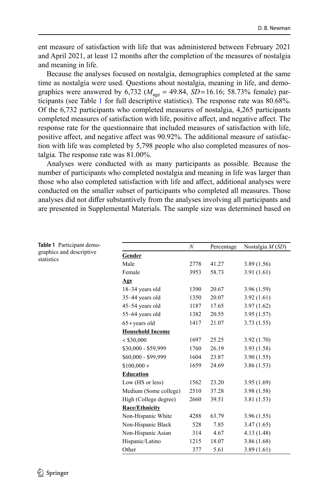ent measure of satisfaction with life that was administered between February 2021 and April 2021, at least 12 months after the completion of the measures of nostalgia and meaning in life.

Because the analyses focused on nostalgia, demographics completed at the same time as nostalgia were used. Questions about nostalgia, meaning in life, and demographics were answered by  $6,732$  ( $M_{\text{age}} = 49.84$ , *SD*=16.16; 58.73% female) participants (see Table [1](#page-3-0) for full descriptive statistics). The response rate was 80.68%. Of the 6,732 participants who completed measures of nostalgia, 4,265 participants completed measures of satisfaction with life, positive affect, and negative affect. The response rate for the questionnaire that included measures of satisfaction with life, positive afect, and negative afect was 90.92%. The additional measure of satisfaction with life was completed by 5,798 people who also completed measures of nostalgia. The response rate was 81.00%.

Analyses were conducted with as many participants as possible. Because the number of participants who completed nostalgia and meaning in life was larger than those who also completed satisfaction with life and afect, additional analyses were conducted on the smaller subset of participants who completed all measures. Those analyses did not difer substantively from the analyses involving all participants and are presented in Supplemental Materials. The sample size was determined based on

<span id="page-3-0"></span>

| Table 1 Participant demo-<br>graphics and descriptive<br>statistics |                         | N    | Percentage | Nostalgia $M(SD)$ |  |  |
|---------------------------------------------------------------------|-------------------------|------|------------|-------------------|--|--|
|                                                                     | Gender                  |      |            |                   |  |  |
|                                                                     | Male                    | 2778 | 41.27      | 3.89(1.56)        |  |  |
|                                                                     | Female                  | 3953 | 58.73      | 3.91(1.61)        |  |  |
|                                                                     | Age                     |      |            |                   |  |  |
|                                                                     | 18-34 years old         | 1390 | 20.67      | 3.96(1.59)        |  |  |
|                                                                     | 35-44 years old         | 1350 | 20.07      | 3.92(1.61)        |  |  |
|                                                                     | 45–54 years old         | 1187 | 17.65      | 3.97(1.62)        |  |  |
|                                                                     | 55-64 years old         | 1382 | 20.55      | 3.95(1.57)        |  |  |
|                                                                     | $65 + \text{years}$ old | 1417 | 21.07      | 3.73(1.55)        |  |  |
|                                                                     | <b>Household Income</b> |      |            |                   |  |  |
|                                                                     | < \$30,000              | 1697 | 25.25      | 3.92(1.70)        |  |  |
|                                                                     | \$30,000 - \$59,999     | 1760 | 26.19      | 3.93(1.58)        |  |  |
|                                                                     | \$60,000 - \$99,999     | 1604 | 23.87      | 3.90(1.55)        |  |  |
|                                                                     | $$100,000 +$            | 1659 | 24.69      | 3.86(1.53)        |  |  |
|                                                                     | <b>Education</b>        |      |            |                   |  |  |
|                                                                     | Low (HS or less)        | 1562 | 23.20      | 3.95(1.69)        |  |  |
|                                                                     | Medium (Some college)   | 2510 | 37.28      | 3.98(1.58)        |  |  |
|                                                                     | High (College degree)   | 2660 | 39.51      | 3.81(1.53)        |  |  |
|                                                                     | <b>Race/Ethnicity</b>   |      |            |                   |  |  |
|                                                                     | Non-Hispanic White      | 4288 | 63.79      | 3.96(1.55)        |  |  |
|                                                                     | Non-Hispanic Black      | 528  | 7.85       | 3.47(1.65)        |  |  |
|                                                                     | Non-Hispanic Asian      | 314  | 4.67       | 4.13(1.48)        |  |  |
|                                                                     | Hispanic/Latino         | 1215 | 18.07      | 3.86(1.68)        |  |  |
|                                                                     | Other                   | 377  | 5.61       | 3.89(1.61)        |  |  |

 $\textcircled{2}$  Springer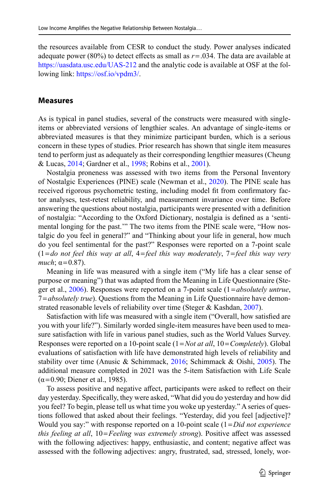the resources available from CESR to conduct the study. Power analyses indicated adequate power (80%) to detect effects as small as  $r = .034$ . The data are available at <https://uasdata.usc.edu/UAS-212>and the analytic code is available at OSF at the following link: [https://osf.io/vpdm3/](https://osf.io/vpdm3/?view_only=16dea642e1a14cabb94ae7a5a11b8a03).

#### **Measures**

As is typical in panel studies, several of the constructs were measured with singleitems or abbreviated versions of lengthier scales. An advantage of single-items or abbreviated measures is that they minimize participant burden, which is a serious concern in these types of studies. Prior research has shown that single item measures tend to perform just as adequately as their corresponding lengthier measures (Cheung & Lucas, [2014](#page-12-2); Gardner et al., [1998](#page-13-11); Robins et al., [2001\)](#page-14-9).

Nostalgia proneness was assessed with two items from the Personal Inventory of Nostalgic Experiences (PINE) scale (Newman et al., [2020](#page-13-0)). The PINE scale has received rigorous psychometric testing, including model ft from confrmatory factor analyses, test-retest reliability, and measurement invariance over time. Before answering the questions about nostalgia, participants were presented with a defnition of nostalgia: "According to the Oxford Dictionary, nostalgia is defned as a 'sentimental longing for the past.'" The two items from the PINE scale were, "How nostalgic do you feel in general?" and "Thinking about your life in general, how much do you feel sentimental for the past?" Responses were reported on a 7-point scale (1=*do not feel this way at all*, 4=*feel this way moderately*, 7=*feel this way very much*;  $\alpha = 0.87$ ).

Meaning in life was measured with a single item ("My life has a clear sense of purpose or meaning") that was adapted from the Meaning in Life Questionnaire (Steger et al., [2006\)](#page-14-10). Responses were reported on a 7-point scale (1=*absolutely untrue*, 7=*absolutely true*). Questions from the Meaning in Life Questionnaire have demon-strated reasonable levels of reliability over time (Steger & Kashdan, [2007\)](#page-14-11).

Satisfaction with life was measured with a single item ("Overall, how satisfed are you with your life?"). Similarly worded single-item measures have been used to measure satisfaction with life in various panel studies, such as the World Values Survey. Responses were reported on a 10-point scale (1=*Not at all*, 10=*Completely*). Global evaluations of satisfaction with life have demonstrated high levels of reliability and stability over time (Anusic & Schimmack, [2016](#page-12-3); Schimmack & Oishi, [2005\)](#page-14-12). The additional measure completed in 2021 was the 5-item Satisfaction with Life Scale  $(α=0.90; Diener et al., 1985).$ 

To assess positive and negative afect, participants were asked to refect on their day yesterday. Specifcally, they were asked, "What did you do yesterday and how did you feel? To begin, please tell us what time you woke up yesterday." A series of questions followed that asked about their feelings. "Yesterday, did you feel [adjective]? Would you say:" with response reported on a 10-point scale (1=*Did not experience this feeling at all*, 10=*Feeling was extremely strong*). Positive affect was assessed with the following adjectives: happy, enthusiastic, and content; negative afect was assessed with the following adjectives: angry, frustrated, sad, stressed, lonely, wor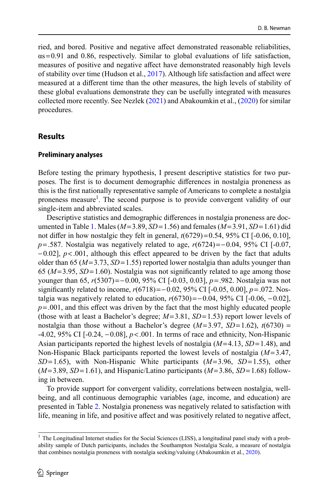ried, and bored. Positive and negative affect demonstrated reasonable reliabilities,  $\alpha s = 0.91$  and 0.86, respectively. Similar to global evaluations of life satisfaction, measures of positive and negative affect have demonstrated reasonably high levels of stability over time (Hudson et al., [2017\)](#page-13-12). Although life satisfaction and afect were measured at a diferent time than the other measures, the high levels of stability of these global evaluations demonstrate they can be usefully integrated with measures collected more recently. See Nezlek [\(2021](#page-14-13)) and Abakoumkin et al., [\(2020](#page-12-1)) for similar procedures.

### **Results**

#### **Preliminary analyses**

Before testing the primary hypothesis, I present descriptive statistics for two purposes. The frst is to document demographic diferences in nostalgia proneness as this is the frst nationally representative sample of Americans to complete a nostalgia proneness measure<sup>1</sup>. The second purpose is to provide convergent validity of our single-item and abbreviated scales.

Descriptive statistics and demographic diferences in nostalgia proneness are documented in Table [1](#page-3-0). Males (*M*=3.89, *SD*=1.56) and females (*M*=3.91, *SD*=1.61) did not difer in how nostalgic they felt in general, *t*(6729)=0.54, 95% CI [-0.06, 0.10], *p*=.587. Nostalgia was negatively related to age, *r*(6724)=−0.04, 95% CI [-0.07, −0.02], *p*<.001, although this efect appeared to be driven by the fact that adults older than 65 (*M*=3.73, *SD*=1.55) reported lower nostalgia than adults younger than  $65 (M=3.95, SD=1.60)$ . Nostalgia was not significantly related to age among those younger than 65, *r*(5307)=−0.00, 95% CI [-0.03, 0.03], *p*=.982. Nostalgia was not signifcantly related to income, *r*(6718)=−0.02, 95% CI [-0.05, 0.00], *p*=.072. Nostalgia was negatively related to education,  $r(6730)=-0.04$ , 95% CI [-0.06, -0.02],  $p = .001$ , and this effect was driven by the fact that the most highly educated people (those with at least a Bachelor's degree; *M*=3.81, *SD*=1.53) report lower levels of nostalgia than those without a Bachelor's degree  $(M=3.97, SD=1.62)$ ,  $t(6730)$  = -4.02, 95% CI [-0.24, −0.08], *p*<.001. In terms of race and ethnicity, Non-Hispanic Asian participants reported the highest levels of nostalgia (*M*=4.13, *SD*=1.48), and Non-Hispanic Black participants reported the lowest levels of nostalgia (*M*=3.47, *SD*=1.65), with Non-Hispanic White participants (*M*=3.96, *SD*=1.55), other  $(M=3.89, SD=1.61)$ , and Hispanic/Latino participants  $(M=3.86, SD=1.68)$  following in between.

To provide support for convergent validity, correlations between nostalgia, wellbeing, and all continuous demographic variables (age, income, and education) are presented in Table [2.](#page-6-0) Nostalgia proneness was negatively related to satisfaction with life, meaning in life, and positive affect and was positively related to negative affect,

<sup>&</sup>lt;sup>1</sup> The Longitudinal Internet studies for the Social Sciences (LISS), a longitudinal panel study with a probability sample of Dutch participants, includes the Southampton Nostalgia Scale, a measure of nostalgia that combines nostalgia proneness with nostalgia seeking/valuing (Abakoumkin et al., [2020](#page-12-1)).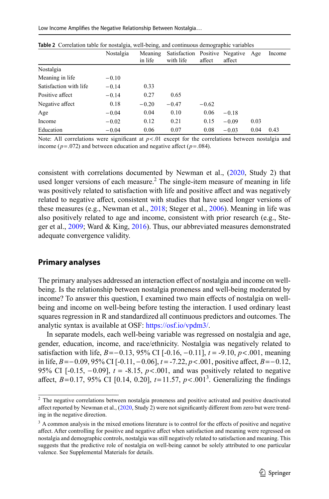Low Income Amplifes the Negative Relationship Between Nostalgia…

|                        | $\tilde{}$ |                    |                                             |         |         |      |        |
|------------------------|------------|--------------------|---------------------------------------------|---------|---------|------|--------|
|                        | Nostalgia  | Meaning<br>in life | Satisfaction Positive Negative<br>with life | affect  | affect  | Age  | Income |
| Nostalgia              |            |                    |                                             |         |         |      |        |
| Meaning in life        | $-0.10$    |                    |                                             |         |         |      |        |
| Satisfaction with life | $-0.14$    | 0.33               |                                             |         |         |      |        |
| Positive affect        | $-0.14$    | 0.27               | 0.65                                        |         |         |      |        |
| Negative affect        | 0.18       | $-0.20$            | $-0.47$                                     | $-0.62$ |         |      |        |
| Age                    | $-0.04$    | 0.04               | 0.10                                        | 0.06    | $-0.18$ |      |        |
| Income                 | $-0.02$    | 0.12               | 0.21                                        | 0.15    | $-0.09$ | 0.03 |        |
| Education              | $-0.04$    | 0.06               | 0.07                                        | 0.08    | $-0.03$ | 0.04 | 0.43   |

<span id="page-6-0"></span>

Note: All correlations were significant at  $p < 0$ l except for the correlations between nostalgia and income ( $p = .072$ ) and between education and negative affect ( $p = .084$ ).

consistent with correlations documented by Newman et al., ([2020,](#page-13-0) Study 2) that used longer versions of each measure. $2$  The single-item measure of meaning in life was positively related to satisfaction with life and positive afect and was negatively related to negative afect, consistent with studies that have used longer versions of these measures (e.g., Newman et al., [2018;](#page-13-13) Steger et al., [2006](#page-14-10)). Meaning in life was also positively related to age and income, consistent with prior research (e.g., Steger et al., [2009](#page-14-14); Ward & King, [2016\)](#page-14-15). Thus, our abbreviated measures demonstrated adequate convergence validity.

# **Primary analyses**

The primary analyses addressed an interaction efect of nostalgia and income on wellbeing. Is the relationship between nostalgia proneness and well-being moderated by income? To answer this question, I examined two main effects of nostalgia on wellbeing and income on well-being before testing the interaction. I used ordinary least squares regression in R and standardized all continuous predictors and outcomes. The analytic syntax is available at OSF: <https://osf.io/vpdm3/>.

In separate models, each well-being variable was regressed on nostalgia and age, gender, education, income, and race/ethnicity. Nostalgia was negatively related to satisfaction with life, *B*=−0.13, 95% CI [-0.16, −0.11], *t* = -9.10, *p*<.001, meaning in life, *B*=−0.09, 95% CI [-0.11, −0.06], *t* = -7.22, *p*<.001, positive afect, *B*=−0.12, 95% CI [-0.15, −0.09], *t* = -8.15, *p*<.001, and was positively related to negative affect,  $B=0.17$ , 95% CI [0.14, 0.20],  $t=11.57$ ,  $p<.001<sup>3</sup>$ . Generalizing the findings

<sup>&</sup>lt;sup>2</sup> The negative correlations between nostalgia proneness and positive activated and positive deactivated affect reported by Newman et al., [\(2020](#page-13-0), Study 2) were not significantly different from zero but were trending in the negative direction.

<sup>&</sup>lt;sup>3</sup> A common analysis in the mixed emotions literature is to control for the effects of positive and negative afect. After controlling for positive and negative afect when satisfaction and meaning were regressed on nostalgia and demographic controls, nostalgia was still negatively related to satisfaction and meaning. This suggests that the predictive role of nostalgia on well-being cannot be solely attributed to one particular valence. See Supplemental Materials for details.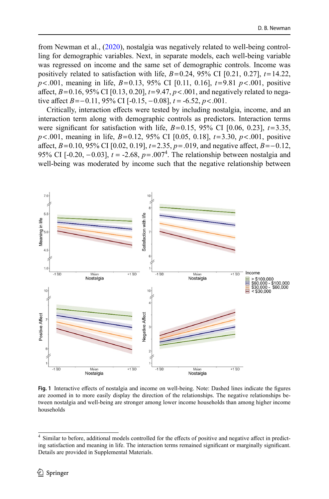from Newman et al., [\(2020](#page-13-0)), nostalgia was negatively related to well-being controlling for demographic variables. Next, in separate models, each well-being variable was regressed on income and the same set of demographic controls. Income was positively related to satisfaction with life,  $B=0.24$ , 95% CI [0.21, 0.27],  $t=14.22$ , *p*<.001, meaning in life, *B*=0.13, 95% CI [0.11, 0.16], *t*=9.81 *p*<.001, positive affect,  $B = 0.16$ , 95% CI [0.13, 0.20],  $t = 9.47$ ,  $p < .001$ , and negatively related to negative affect  $B = -0.11$ , 95% CI [-0.15, -0.08],  $t = -6.52$ ,  $p < .001$ .

Critically, interaction efects were tested by including nostalgia, income, and an interaction term along with demographic controls as predictors. Interaction terms were significant for satisfaction with life,  $B=0.15$ , 95% CI [0.06, 0.23],  $t=3.35$ , *p*<.001, meaning in life, *B*=0.12, 95% CI [0.05, 0.18], *t*=3.30, *p*<.001, positive afect, *B*=0.10, 95% CI [0.02, 0.19], *t*=2.35, *p*=.019, and negative afect, *B*=−0.12, 95% CI  $[-0.20, -0.03]$ ,  $t = -2.68$ ,  $p = .007<sup>4</sup>$ . The relationship between nostalgia and well-being was moderated by income such that the negative relationship between

<span id="page-7-0"></span>

**Fig. 1** Interactive efects of nostalgia and income on well-being. Note: Dashed lines indicate the fgures are zoomed in to more easily display the direction of the relationships. The negative relationships between nostalgia and well-being are stronger among lower income households than among higher income households

<sup>&</sup>lt;sup>4</sup> Similar to before, additional models controlled for the effects of positive and negative affect in predicting satisfaction and meaning in life. The interaction terms remained signifcant or marginally signifcant. Details are provided in Supplemental Materials.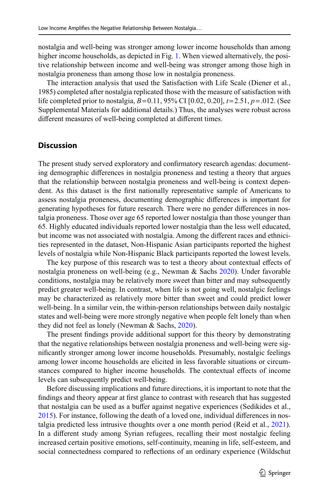nostalgia and well-being was stronger among lower income households than among higher income households, as depicted in Fig. [1.](#page-7-0) When viewed alternatively, the positive relationship between income and well-being was stronger among those high in nostalgia proneness than among those low in nostalgia proneness.

The interaction analysis that used the Satisfaction with Life Scale (Diener et al., 1985) completed after nostalgia replicated those with the measure of satisfaction with life completed prior to nostalgia, *B*=0.11, 95% CI [0.02, 0.20], *t*=2.51, *p*=.012. (See Supplemental Materials for additional details.) Thus, the analyses were robust across diferent measures of well-being completed at diferent times.

#### **Discussion**

The present study served exploratory and confrmatory research agendas: documenting demographic diferences in nostalgia proneness and testing a theory that argues that the relationship between nostalgia proneness and well-being is context dependent. As this dataset is the frst nationally representative sample of Americans to assess nostalgia proneness, documenting demographic diferences is important for generating hypotheses for future research. There were no gender diferences in nostalgia proneness. Those over age 65 reported lower nostalgia than those younger than 65. Highly educated individuals reported lower nostalgia than the less well educated, but income was not associated with nostalgia. Among the diferent races and ethnicities represented in the dataset, Non-Hispanic Asian participants reported the highest levels of nostalgia while Non-Hispanic Black participants reported the lowest levels.

The key purpose of this research was to test a theory about contextual effects of nostalgia proneness on well-being (e.g., Newman & Sachs [2020](#page-13-2)). Under favorable conditions, nostalgia may be relatively more sweet than bitter and may subsequently predict greater well-being. In contrast, when life is not going well, nostalgic feelings may be characterized as relatively more bitter than sweet and could predict lower well-being. In a similar vein, the within-person relationships between daily nostalgic states and well-being were more strongly negative when people felt lonely than when they did not feel as lonely (Newman & Sachs, [2020\)](#page-13-2).

The present fndings provide additional support for this theory by demonstrating that the negative relationships between nostalgia proneness and well-being were signifcantly stronger among lower income households. Presumably, nostalgic feelings among lower income households are elicited in less favorable situations or circumstances compared to higher income households. The contextual efects of income levels can subsequently predict well-being.

Before discussing implications and future directions, it is important to note that the fndings and theory appear at frst glance to contrast with research that has suggested that nostalgia can be used as a buffer against negative experiences (Sedikides et al., [2015](#page-14-16)). For instance, following the death of a loved one, individual diferences in nostalgia predicted less intrusive thoughts over a one month period (Reid et al., [2021\)](#page-14-17). In a diferent study among Syrian refugees, recalling their most nostalgic feeling increased certain positive emotions, self-continuity, meaning in life, self-esteem, and social connectedness compared to refections of an ordinary experience (Wildschut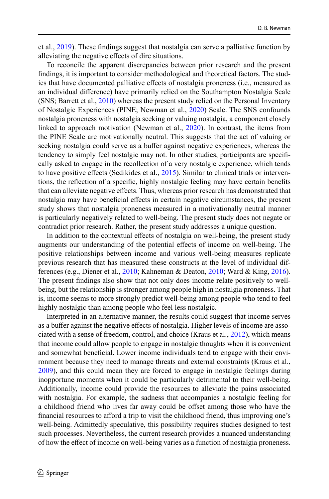et al., [2019\)](#page-15-1). These fndings suggest that nostalgia can serve a palliative function by alleviating the negative efects of dire situations.

To reconcile the apparent discrepancies between prior research and the present fndings, it is important to consider methodological and theoretical factors. The studies that have documented palliative effects of nostalgia proneness (i.e., measured as an individual diference) have primarily relied on the Southampton Nostalgia Scale (SNS; Barrett et al., [2010](#page-12-4)) whereas the present study relied on the Personal Inventory of Nostalgic Experiences (PINE; Newman et al., [2020\)](#page-13-0) Scale. The SNS confounds nostalgia proneness with nostalgia seeking or valuing nostalgia, a component closely linked to approach motivation (Newman et al., [2020](#page-13-0)). In contrast, the items from the PINE Scale are motivationally neutral. This suggests that the act of valuing or seeking nostalgia could serve as a bufer against negative experiences, whereas the tendency to simply feel nostalgic may not. In other studies, participants are specifcally asked to engage in the recollection of a very nostalgic experience, which tends to have positive effects (Sedikides et al., [2015\)](#page-14-16). Similar to clinical trials or interventions, the refection of a specifc, highly nostalgic feeling may have certain benefts that can alleviate negative efects. Thus, whereas prior research has demonstrated that nostalgia may have benefcial efects in certain negative circumstances, the present study shows that nostalgia proneness measured in a motivationally neutral manner is particularly negatively related to well-being. The present study does not negate or contradict prior research. Rather, the present study addresses a unique question.

In addition to the contextual efects of nostalgia on well-being, the present study augments our understanding of the potential efects of income on well-being. The positive relationships between income and various well-being measures replicate previous research that has measured these constructs at the level of individual differences (e.g., Diener et al., [2010](#page-13-14); Kahneman & Deaton, [2010](#page-13-15); Ward & King, [2016\)](#page-14-15). The present fndings also show that not only does income relate positively to wellbeing, but the relationship is stronger among people high in nostalgia proneness. That is, income seems to more strongly predict well-being among people who tend to feel highly nostalgic than among people who feel less nostalgic.

Interpreted in an alternative manner, the results could suggest that income serves as a bufer against the negative efects of nostalgia. Higher levels of income are associated with a sense of freedom, control, and choice (Kraus et al., [2012](#page-13-8)), which means that income could allow people to engage in nostalgic thoughts when it is convenient and somewhat benefcial. Lower income individuals tend to engage with their environment because they need to manage threats and external constraints (Kraus et al., [2009](#page-13-16)), and this could mean they are forced to engage in nostalgic feelings during inopportune moments when it could be particularly detrimental to their well-being. Additionally, income could provide the resources to alleviate the pains associated with nostalgia. For example, the sadness that accompanies a nostalgic feeling for a childhood friend who lives far away could be ofset among those who have the financial resources to afford a trip to visit the childhood friend, thus improving one's well-being. Admittedly speculative, this possibility requires studies designed to test such processes. Nevertheless, the current research provides a nuanced understanding of how the efect of income on well-being varies as a function of nostalgia proneness.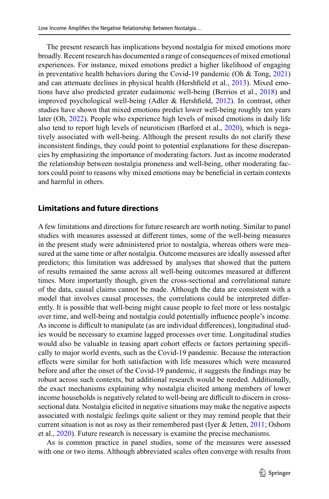The present research has implications beyond nostalgia for mixed emotions more broadly. Recent research has documented a range of consequences of mixed emotional experiences. For instance, mixed emotions predict a higher likelihood of engaging in preventative health behaviors during the Covid-19 pandemic (Oh  $&$  Tong, [2021](#page-14-18)) and can attenuate declines in physical health (Hershfeld et al., [2013\)](#page-13-17). Mixed emotions have also predicted greater eudaimonic well-being (Berrios et al., [2018](#page-12-5)) and improved psychological well-being (Adler & Hershfeld, [2012](#page-12-6)). In contrast, other studies have shown that mixed emotions predict lower well-being roughly ten years later (Oh, [2022](#page-14-19)). People who experience high levels of mixed emotions in daily life also tend to report high levels of neuroticism (Barford et al., [2020](#page-12-7)), which is negatively associated with well-being. Although the present results do not clarify these inconsistent fndings, they could point to potential explanations for these discrepancies by emphasizing the importance of moderating factors. Just as income moderated the relationship between nostalgia proneness and well-being, other moderating factors could point to reasons why mixed emotions may be benefcial in certain contexts and harmful in others.

# **Limitations and future directions**

A few limitations and directions for future research are worth noting. Similar to panel studies with measures assessed at diferent times, some of the well-being measures in the present study were administered prior to nostalgia, whereas others were measured at the same time or after nostalgia. Outcome measures are ideally assessed after predictors; this limitation was addressed by analyses that showed that the pattern of results remained the same across all well-being outcomes measured at diferent times. More importantly though, given the cross-sectional and correlational nature of the data, causal claims cannot be made. Although the data are consistent with a model that involves causal processes, the correlations could be interpreted diferently. It is possible that well-being might cause people to feel more or less nostalgic over time, and well-being and nostalgia could potentially infuence people's income. As income is difcult to manipulate (as are individual diferences), longitudinal studies would be necessary to examine lagged processes over time. Longitudinal studies would also be valuable in teasing apart cohort efects or factors pertaining specifcally to major world events, such as the Covid-19 pandemic. Because the interaction efects were similar for both satisfaction with life measures which were measured before and after the onset of the Covid-19 pandemic, it suggests the fndings may be robust across such contexts, but additional research would be needed. Additionally, the exact mechanisms explaining why nostalgia elicited among members of lower income households is negatively related to well-being are difficult to discern in crosssectional data. Nostalgia elicited in negative situations may make the negative aspects associated with nostalgic feelings quite salient or they may remind people that their current situation is not as rosy as their remembered past (Iyer & Jetten, [2011;](#page-13-18) Osborn et al., [2020](#page-14-20)). Future research is necessary is examine the precise mechanisms.

As is common practice in panel studies, some of the measures were assessed with one or two items. Although abbreviated scales often converge with results from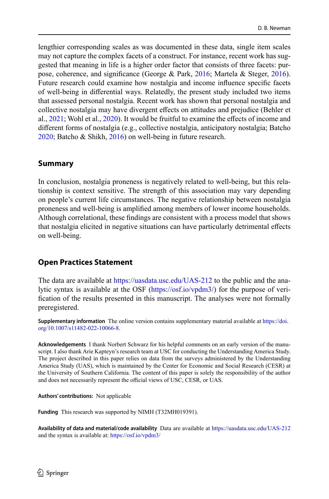lengthier corresponding scales as was documented in these data, single item scales may not capture the complex facets of a construct. For instance, recent work has suggested that meaning in life is a higher order factor that consists of three facets: purpose, coherence, and significance (George & Park,  $2016$ ; Martela & Steger,  $2016$ ). Future research could examine how nostalgia and income infuence specifc facets of well-being in diferential ways. Relatedly, the present study included two items that assessed personal nostalgia. Recent work has shown that personal nostalgia and collective nostalgia may have divergent efects on attitudes and prejudice (Behler et al., [2021](#page-12-8); Wohl et al., [2020\)](#page-15-2). It would be fruitful to examine the efects of income and diferent forms of nostalgia (e.g., collective nostalgia, anticipatory nostalgia; Batcho [2020](#page-12-9); Batcho & Shikh, [2016\)](#page-12-10) on well-being in future research.

### **Summary**

In conclusion, nostalgia proneness is negatively related to well-being, but this relationship is context sensitive. The strength of this association may vary depending on people's current life circumstances. The negative relationship between nostalgia proneness and well-being is amplifed among members of lower income households. Although correlational, these fndings are consistent with a process model that shows that nostalgia elicited in negative situations can have particularly detrimental efects on well-being.

### **Open Practices Statement**

The data are available at <https://uasdata.usc.edu/UAS-212>to the public and the analytic syntax is available at the OSF [\(https://osf.io/vpdm3/\)](https://osf.io/vpdm3/) for the purpose of verifcation of the results presented in this manuscript. The analyses were not formally preregistered.

**Supplementary information** The online version contains supplementary material available at [https://doi.](http://dx.doi.org/10.1007/s11482-022-10066-8) [org/10.1007/s11482-022-10066-8](http://dx.doi.org/10.1007/s11482-022-10066-8).

**Acknowledgements** I thank Norbert Schwarz for his helpful comments on an early version of the manuscript. I also thank Arie Kapteyn's research team at USC for conducting the Understanding America Study. The project described in this paper relies on data from the surveys administered by the Understanding America Study (UAS), which is maintained by the Center for Economic and Social Research (CESR) at the University of Southern California. The content of this paper is solely the responsibility of the author and does not necessarily represent the official views of USC, CESR, or UAS.

**Authors' contributions:** Not applicable

**Funding** This research was supported by NIMH (T32MH019391).

**Availability of data and material/code availability** Data are available at <https://uasdata.usc.edu/UAS-212> and the syntax is available at:<https://osf.io/vpdm3/>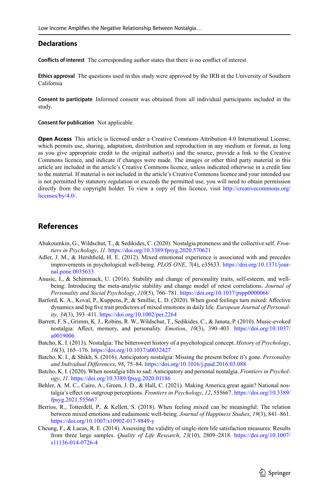#### **Declarations**

**Conficts of interest** The corresponding author states that there is no confict of interest.

**Ethics approval** The questions used in this study were approved by the IRB at the University of Southern California

**Consent to participate** Informed consent was obtained from all individual participants included in the study.

**Consent for publication** Not applicable

**Open Access** This article is licensed under a Creative Commons Attribution 4.0 International License, which permits use, sharing, adaptation, distribution and reproduction in any medium or format, as long as you give appropriate credit to the original author(s) and the source, provide a link to the Creative Commons licence, and indicate if changes were made. The images or other third party material in this article are included in the article's Creative Commons licence, unless indicated otherwise in a credit line to the material. If material is not included in the article's Creative Commons licence and your intended use is not permitted by statutory regulation or exceeds the permitted use, you will need to obtain permission directly from the copyright holder. To view a copy of this licence, visit [http://creativecommons.org/](http://creativecommons.org/licenses/by/4.0/) [licenses/by/4.0/](http://creativecommons.org/licenses/by/4.0/).

### **References**

- <span id="page-12-1"></span>Abakoumkin, G., Wildschut, T., & Sedikides, C. (2020). Nostalgia proneness and the collective self. *Frontiers in Psychology*, *11*. [https://doi.org/10.3389/fpsyg.2020.570621](http://dx.doi.org/10.3389/fpsyg.2020.570621)
- <span id="page-12-6"></span>Adler, J. M., & Hershfeld, H. E. (2012). Mixed emotional experience is associated with and precedes improvements in psychological well-being. *PLOS ONE*, *7*(4), e35633. [https://doi.org/10.1371/jour](http://dx.doi.org/10.1371/journal.pone.0035633)[nal.pone.0035633](http://dx.doi.org/10.1371/journal.pone.0035633)
- <span id="page-12-3"></span>Anusic, I., & Schimmack, U. (2016). Stability and change of personality traits, self-esteem, and wellbeing: Introducing the meta-analytic stability and change model of retest correlations. *Journal of Personality and Social Psychology*, *110*(5), 766–781. [https://doi.org/10.1037/pspp0000066](http://dx.doi.org/10.1037/pspp0000066)
- <span id="page-12-7"></span>Barford, K. A., Koval, P., Kuppens, P., & Smillie, L. D. (2020). When good feelings turn mixed: Afective dynamics and big fve trait predictors of mixed emotions in daily life. *European Journal of Personality*, *34*(3), 393–411. [https://doi.org/10.1002/per.2264](http://dx.doi.org/10.1002/per.2264)
- <span id="page-12-4"></span>Barrett, F. S., Grimm, K. J., Robins, R. W., Wildschut, T., Sedikides, C., & Janata, P. (2010). Music-evoked nostalgia: Afect, memory, and personality. *Emotion*, *10*(3), 390–403. [https://doi.org/10.1037/](http://dx.doi.org/10.1037/a0019006) [a0019006](http://dx.doi.org/10.1037/a0019006)
- <span id="page-12-0"></span>Batcho, K. I. (2013). Nostalgia: The bittersweet history of a psychological concept. *History of Psychology*, *16*(3), 165–176. [https://doi.org/10.1037/a0032427](http://dx.doi.org/10.1037/a0032427)
- <span id="page-12-10"></span>Batcho, K. I., & Shikh, S. (2016). Anticipatory nostalgia: Missing the present before it's gone. *Personality and Individual Diferences*, *98*, 75–84. [https://doi.org/10.1016/j.paid.2016.03.088](http://dx.doi.org/10.1016/j.paid.2016.03.088)
- <span id="page-12-9"></span>Batcho, K. I. (2020). When nostalgia tilts to sad: Anticipatory and personal nostalgia. *Frontiers in Psychology*, *11*. [https://doi.org/10.3389/fpsyg.2020.01186](http://dx.doi.org/10.3389/fpsyg.2020.01186)
- <span id="page-12-8"></span>Behler, A. M. C., Cairo, A., Green, J. D., & Hall, C. (2021). Making America great again? National nostalgia's efect on outgroup perceptions. *Frontiers in Psychology*, *12*, 555667. [https://doi.org/10.3389/](http://dx.doi.org/10.3389/fpsyg.2021.555667) [fpsyg.2021.555667](http://dx.doi.org/10.3389/fpsyg.2021.555667)
- <span id="page-12-5"></span>Berrios, R., Totterdell, P., & Kellett, S. (2018). When feeling mixed can be meaningful: The relation between mixed emotions and eudaimonic well-being. *Journal of Happiness Studies*, *19*(3), 841–861. [https://doi.org/10.1007/s10902-017-9849-y](http://dx.doi.org/10.1007/s10902-017-9849-y)
- <span id="page-12-2"></span>Cheung, F., & Lucas, R. E. (2014). Assessing the validity of single-item life satisfaction measures: Results from three large samples. *Quality of Life Research*, *23*(10), 2809–2818. [https://doi.org/10.1007/](http://dx.doi.org/10.1007/s11136-014-0726-4) [s11136-014-0726-4](http://dx.doi.org/10.1007/s11136-014-0726-4)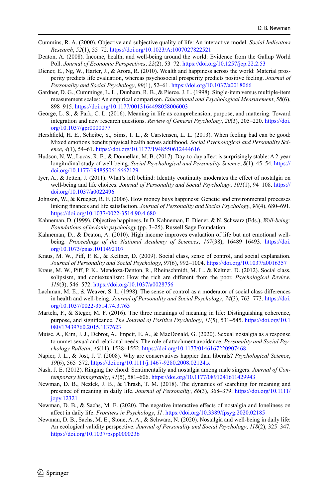- <span id="page-13-5"></span>Cummins, R. A. (2000). Objective and subjective quality of life: An interactive model. *Social Indicators Research*, *52*(1), 55–72. [https://doi.org/10.1023/A:1007027822521](http://dx.doi.org/10.1023/A:1007027822521)
- <span id="page-13-6"></span>Deaton, A. (2008). Income, health, and well-being around the world: Evidence from the Gallup World Poll. *Journal of Economic Perspectives*, *22*(2), 53–72. [https://doi.org/10.1257/jep.22.2.53](http://dx.doi.org/10.1257/jep.22.2.53)
- <span id="page-13-14"></span>Diener, E., Ng, W., Harter, J., & Arora, R. (2010). Wealth and happiness across the world: Material prosperity predicts life evaluation, whereas psychosocial prosperity predicts positive feeling. *Journal of Personality and Social Psychology*, *99*(1), 52–61. [https://doi.org/10.1037/a0018066](http://dx.doi.org/10.1037/a0018066)
- <span id="page-13-11"></span>Gardner, D. G., Cummings, L. L., Dunham, R. B., & Pierce, J. L. (1998). Single-item versus multiple-item measurement scales: An empirical comparison. *Educational and Psychological Measurement*, *58*(6), 898–915. [https://doi.org/10.1177/0013164498058006003](http://dx.doi.org/10.1177/0013164498058006003)
- <span id="page-13-19"></span>George, L. S., & Park, C. L. (2016). Meaning in life as comprehension, purpose, and mattering: Toward integration and new research questions. *Review of General Psychology*, *20*(3), 205–220. [https://doi.](http://dx.doi.org/10.1037/gpr0000077) [org/10.1037/gpr0000077](http://dx.doi.org/10.1037/gpr0000077)
- <span id="page-13-17"></span>Hershfeld, H. E., Scheibe, S., Sims, T. L., & Carstensen, L. L. (2013). When feeling bad can be good: Mixed emotions beneft physical health across adulthood. *Social Psychological and Personality Science*, *4*(1), 54–61. [https://doi.org/10.1177/1948550612444616](http://dx.doi.org/10.1177/1948550612444616)
- <span id="page-13-12"></span>Hudson, N. W., Lucas, R. E., & Donnellan, M. B. (2017). Day-to-day affect is surprisingly stable: A 2-year longitudinal study of well-being. *Social Psychological and Personality Science*, *8*(1), 45–54. [https://](http://dx.doi.org/10.1177/1948550616662129) [doi.org/10.1177/1948550616662129](http://dx.doi.org/10.1177/1948550616662129)
- <span id="page-13-18"></span>Iyer, A., & Jetten, J. (2011). What's left behind: Identity continuity moderates the efect of nostalgia on well-being and life choices. *Journal of Personality and Social Psychology*, *101*(1), 94–108. [https://](http://dx.doi.org/10.1037/a0022496) [doi.org/10.1037/a0022496](http://dx.doi.org/10.1037/a0022496)
- <span id="page-13-7"></span>Johnson, W., & Krueger, R. F. (2006). How money buys happiness: Genetic and environmental processes linking fnances and life satisfaction. *Journal of Personality and Social Psychology*, *90*(4), 680–691. [https://doi.org/10.1037/0022-3514.90.4.680](http://dx.doi.org/10.1037/0022-3514.90.4.680)
- <span id="page-13-3"></span>Kahneman, D. (1999). Objective happiness. In D. Kahneman, E. Diener, & N. Schwarz (Eds.), *Well-being: Foundations of hedonic psychology* (pp. 3–25). Russell Sage Foundation
- <span id="page-13-15"></span>Kahneman, D., & Deaton, A. (2010). High income improves evaluation of life but not emotional wellbeing. *Proceedings of the National Academy of Sciences*, *107*(38), 16489–16493. [https://doi.](http://dx.doi.org/10.1073/pnas.1011492107) [org/10.1073/pnas.1011492107](http://dx.doi.org/10.1073/pnas.1011492107)
- <span id="page-13-16"></span>Kraus, M. W., Pif, P. K., & Keltner, D. (2009). Social class, sense of control, and social explanation. *Journal of Personality and Social Psychology*, *97*(6), 992–1004. [https://doi.org/10.1037/a0016357](http://dx.doi.org/10.1037/a0016357)
- <span id="page-13-8"></span>Kraus, M. W., Pif, P. K., Mendoza-Denton, R., Rheinschmidt, M. L., & Keltner, D. (2012). Social class, solipsism, and contextualism: How the rich are diferent from the poor. *Psychological Review*, *119*(3), 546–572. [https://doi.org/10.1037/a0028756](http://dx.doi.org/10.1037/a0028756)
- <span id="page-13-9"></span>Lachman, M. E., & Weaver, S. L. (1998). The sense of control as a moderator of social class diferences in health and well-being. *Journal of Personality and Social Psychology*, *74*(3), 763–773. [https://doi.](http://dx.doi.org/10.1037/0022-3514.74.3.763) [org/10.1037/0022-3514.74.3.763](http://dx.doi.org/10.1037/0022-3514.74.3.763)
- <span id="page-13-20"></span>Martela, F., & Steger, M. F. (2016). The three meanings of meaning in life: Distinguishing coherence, purpose, and signifcance. *The Journal of Positive Psychology*, *11*(5), 531–545. [https://doi.org/10.1](http://dx.doi.org/10.1080/17439760.2015.1137623) [080/17439760.2015.1137623](http://dx.doi.org/10.1080/17439760.2015.1137623)
- <span id="page-13-4"></span>Muise, A., Kim, J. J., Debrot, A., Impett, E. A., & MacDonald, G. (2020). Sexual nostalgia as a response to unmet sexual and relational needs: The role of attachment avoidance. *Personality and Social Psychology Bulletin*, *46*(11), 1538–1552. [https://doi.org/10.1177/0146167220907468](http://dx.doi.org/10.1177/0146167220907468)
- <span id="page-13-10"></span>Napier, J. L., & Jost, J. T. (2008). Why are conservatives happier than liberals? *Psychological Science*, *19*(6), 565–572. [https://doi.org/10.1111/j.1467-9280.2008.02124.x](http://dx.doi.org/10.1111/j.1467-9280.2008.02124.x)
- <span id="page-13-1"></span>Nash, J. E. (2012). Ringing the chord: Sentimentality and nostalgia among male singers. *Journal of Contemporary Ethnography*, *41*(5), 581–606. [https://doi.org/10.1177/0891241611429943](http://dx.doi.org/10.1177/0891241611429943)
- <span id="page-13-13"></span>Newman, D. B., Nezlek, J. B., & Thrash, T. M. (2018). The dynamics of searching for meaning and presence of meaning in daily life. *Journal of Personality*, *86*(3), 368–379. [https://doi.org/10.1111/](http://dx.doi.org/10.1111/jopy.12321) [jopy.12321](http://dx.doi.org/10.1111/jopy.12321)
- <span id="page-13-2"></span>Newman, D. B., & Sachs, M. E. (2020). The negative interactive efects of nostalgia and loneliness on afect in daily life. *Frontiers in Psychology*, *11*. [https://doi.org/10.3389/fpsyg.2020.02185](http://dx.doi.org/10.3389/fpsyg.2020.02185)
- <span id="page-13-0"></span>Newman, D. B., Sachs, M. E., Stone, A. A., & Schwarz, N. (2020). Nostalgia and well-being in daily life: An ecological validity perspective. *Journal of Personality and Social Psychology*, *118*(2), 325–347. [https://doi.org/10.1037/pspp0000236](http://dx.doi.org/10.1037/pspp0000236)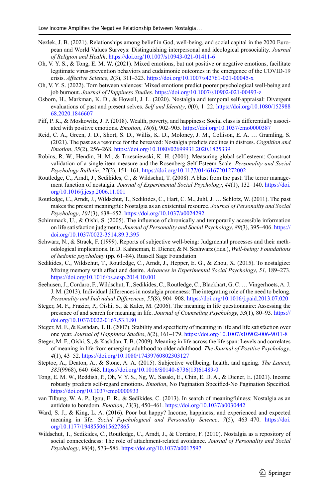- <span id="page-14-13"></span>Nezlek, J. B. (2021). Relationships among belief in God, well-being, and social capital in the 2020 European and World Values Surveys: Distinguishing interpersonal and ideological prosociality. *Journal of Religion and Health*. [https://doi.org/10.1007/s10943-021-01411-6](http://dx.doi.org/10.1007/s10943-021-01411-6)
- <span id="page-14-18"></span>Oh, V. Y. S., & Tong, E. M. W. (2021). Mixed emotions, but not positive or negative emotions, facilitate legitimate virus-prevention behaviors and eudaimonic outcomes in the emergence of the COVID-19 crisis. *Afective Science*, *2*(3), 311–323. [https://doi.org/10.1007/s42761-021-00045-x](http://dx.doi.org/10.1007/s42761-021-00045-x)
- <span id="page-14-19"></span>Oh, V. Y. S. (2022). Torn between valences: Mixed emotions predict poorer psychological well-being and job burnout. *Journal of Happiness Studies*. [https://doi.org/10.1007/s10902-021-00493-z](http://dx.doi.org/10.1007/s10902-021-00493-z)
- <span id="page-14-20"></span>Osborn, H., Markman, K. D., & Howell, J. L. (2020). Nostalgia and temporal self-appraisal: Divergent evaluations of past and present selves. *Self and Identity*, *0*(0), 1–22. [https://doi.org/10.1080/152988](http://dx.doi.org/10.1080/15298868.2020.1846607) [68.2020.1846607](http://dx.doi.org/10.1080/15298868.2020.1846607)
- <span id="page-14-7"></span>Pif, P. K., & Moskowitz, J. P. (2018). Wealth, poverty, and happiness: Social class is diferentially associated with positive emotions. *Emotion*, *18*(6), 902–905. [https://doi.org/10.1037/emo0000387](http://dx.doi.org/10.1037/emo0000387)
- <span id="page-14-17"></span>Reid, C. A., Green, J. D., Short, S. D., Willis, K. D., Moloney, J. M., Collison, E. A. … Gramling, S. (2021). The past as a resource for the bereaved: Nostalgia predicts declines in distress. *Cognition and Emotion*, *35*(2), 256–268. [https://doi.org/10.1080/02699931.2020.1825339](http://dx.doi.org/10.1080/02699931.2020.1825339)
- <span id="page-14-9"></span>Robins, R. W., Hendin, H. M., & Trzesniewski, K. H. (2001). Measuring global self-esteem: Construct validation of a single-item measure and the Rosenberg Self-Esteem Scale. *Personality and Social Psychology Bulletin*, *27*(2), 151–161. [https://doi.org/10.1177/0146167201272002](http://dx.doi.org/10.1177/0146167201272002)
- <span id="page-14-1"></span>Routledge, C., Arndt, J., Sedikides, C., & Wildschut, T. (2008). A blast from the past: The terror management function of nostalgia. *Journal of Experimental Social Psychology*, *44*(1), 132–140. [https://doi.](http://dx.doi.org/10.1016/j.jesp.2006.11.001) [org/10.1016/j.jesp.2006.11.001](http://dx.doi.org/10.1016/j.jesp.2006.11.001)
- <span id="page-14-0"></span>Routledge, C., Arndt, J., Wildschut, T., Sedikides, C., Hart, C. M., Juhl, J. … Schlotz, W. (2011). The past makes the present meaningful: Nostalgia as an existential resource. *Journal of Personality and Social Psychology*, *101*(3), 638–652. [https://doi.org/10.1037/a0024292](http://dx.doi.org/10.1037/a0024292)
- <span id="page-14-12"></span>Schimmack, U., & Oishi, S. (2005). The infuence of chronically and temporarily accessible information on life satisfaction judgments. *Journal of Personality and Social Psychology*, *89*(3), 395–406. [https://](http://dx.doi.org/10.1037/0022-3514.89.3.395) [doi.org/10.1037/0022-3514.89.3.395](http://dx.doi.org/10.1037/0022-3514.89.3.395)
- <span id="page-14-5"></span>Schwarz, N., & Strack, F. (1999). Reports of subjective well-being: Judgmental processes and their methodological implications. In D. Kahneman, E. Diener, & N. Scshwarz (Eds.), *Well-being: Foundations of hedonic psychology* (pp. 61–84). Russell Sage Foundation
- <span id="page-14-16"></span>Sedikides, C., Wildschut, T., Routledge, C., Arndt, J., Hepper, E. G., & Zhou, X. (2015). To nostalgize: Mixing memory with afect and desire. *Advances in Experimental Social Psychology*, *51*, 189–273. [https://doi.org/10.1016/bs.aesp.2014.10.001](http://dx.doi.org/10.1016/bs.aesp.2014.10.001)
- <span id="page-14-2"></span>Seehusen, J., Cordaro, F., Wildschut, T., Sedikides, C., Routledge, C., Blackhart, G. C. … Vingerhoets, A. J. J. M. (2013). Individual diferences in nostalgia proneness: The integrating role of the need to belong. *Personality and Individual Diferences*, *55*(8), 904–908. [https://doi.org/10.1016/j.paid.2013.07.020](http://dx.doi.org/10.1016/j.paid.2013.07.020)
- <span id="page-14-10"></span>Steger, M. F., Frazier, P., Oishi, S., & Kaler, M. (2006). The meaning in life questionnaire: Assessing the presence of and search for meaning in life. *Journal of Counseling Psychology*, *53*(1), 80–93. [https://](http://dx.doi.org/10.1037/0022-0167.53.1.80) [doi.org/10.1037/0022-0167.53.1.80](http://dx.doi.org/10.1037/0022-0167.53.1.80)
- <span id="page-14-11"></span>Steger, M. F., & Kashdan, T. B. (2007). Stability and specificity of meaning in life and life satisfaction over one year. *Journal of Happiness Studies*, *8*(2), 161–179. [https://doi.org/10.1007/s10902-006-9011-8](http://dx.doi.org/10.1007/s10902-006-9011-8)
- <span id="page-14-14"></span>Steger, M. F., Oishi, S., & Kashdan, T. B. (2009). Meaning in life across the life span: Levels and correlates of meaning in life from emerging adulthood to older adulthood. *The Journal of Positive Psychology*, *4*(1), 43–52. [https://doi.org/10.1080/17439760802303127](http://dx.doi.org/10.1080/17439760802303127)
- <span id="page-14-6"></span>Steptoe, A., Deaton, A., & Stone, A. A. (2015). Subjective wellbeing, health, and ageing. *The Lancet*, *385*(9968), 640–648. [https://doi.org/10.1016/S0140-6736\(13\)61489-0](http://dx.doi.org/10.1016/S0140-6736(13)61489-0)
- <span id="page-14-8"></span>Tong, E. M. W., Reddish, P., Oh, V. Y. S., Ng, W., Sasaki, E., Chin, E. D. A., & Diener, E. (2021). Income robustly predicts self-regard emotions. *Emotion*, No Pagination Specifed-No Pagination Specifed. [https://doi.org/10.1037/emo0000933](http://dx.doi.org/10.1037/emo0000933)
- <span id="page-14-3"></span>van Tilburg, W. A. P., Igou, E. R., & Sedikides, C. (2013). In search of meaningfulness: Nostalgia as an antidote to boredom. *Emotion*, *13*(3), 450–461. [https://doi.org/10.1037/a0030442](http://dx.doi.org/10.1037/a0030442)
- <span id="page-14-15"></span>Ward, S. J., & King, L. A. (2016). Poor but happy? Income, happiness, and experienced and expected meaning in life. *Social Psychological and Personality Science*, *7*(5), 463–470. [https://doi.](http://dx.doi.org/10.1177/1948550615627865) [org/10.1177/1948550615627865](http://dx.doi.org/10.1177/1948550615627865)
- <span id="page-14-4"></span>Wildschut, T., Sedikides, C., Routledge, C., Arndt, J., & Cordaro, F. (2010). Nostalgia as a repository of social connectedness: The role of attachment-related avoidance. *Journal of Personality and Social Psychology*, *98*(4), 573–586. [https://doi.org/10.1037/a0017597](http://dx.doi.org/10.1037/a0017597)